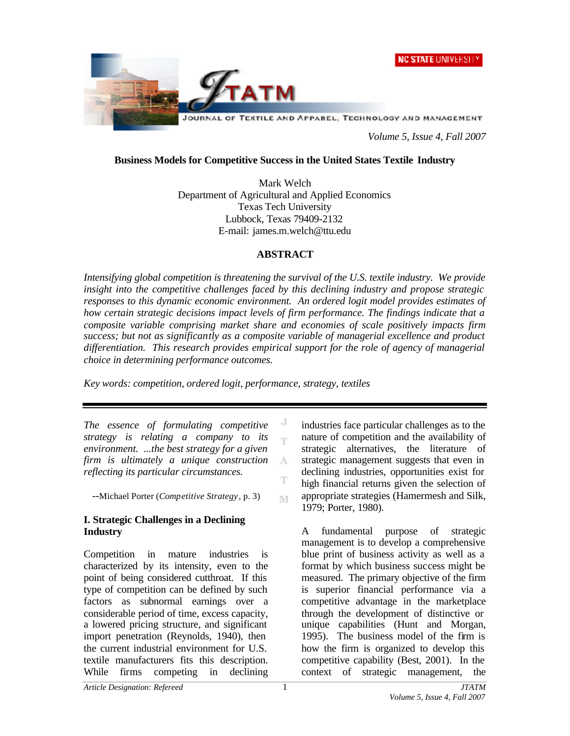



*Volume 5, Issue 4, Fall 2007*

#### **Business Models for Competitive Success in the United States Textile Industry**

Mark Welch Department of Agricultural and Applied Economics Texas Tech University Lubbock, Texas 79409-2132 E-mail: james.m.welch@ttu.edu

#### **ABSTRACT**

*Intensifying global competition is threatening the survival of the U.S. textile industry. We provide insight into the competitive challenges faced by this declining industry and propose strategic responses to this dynamic economic environment. An ordered logit model provides estimates of how certain strategic decisions impact levels of firm performance. The findings indicate that a composite variable comprising market share and economies of scale positively impacts firm success; but not as significantly as a composite variable of managerial excellence and product differentiation. This research provides empirical support for the role of agency of managerial choice in determining performance outcomes.* 

> J m

A Ŧ

M

*Key words: competition, ordered logit, performance, strategy, textiles*

*The essence of formulating competitive strategy is relating a company to its environment. ...the best strategy for a given firm is ultimately a unique construction reflecting its particular circumstances.*

--Michael Porter (*Competitive Strategy*, p. 3)

## **I. Strategic Challenges in a Declining Industry**

Competition in mature industries is characterized by its intensity, even to the point of being considered cutthroat. If this type of competition can be defined by such factors as subnormal earnings over a considerable period of time, excess capacity, a lowered pricing structure, and significant import penetration (Reynolds, 1940), then the current industrial environment for U.S. textile manufacturers fits this description. While firms competing in declining

industries face particular challenges as to the nature of competition and the availability of strategic alternatives, the literature of strategic management suggests that even in declining industries, opportunities exist for high financial returns given the selection of appropriate strategies (Hamermesh and Silk, 1979; Porter, 1980).

A fundamental purpose of strategic management is to develop a comprehensive blue print of business activity as well as a format by which business success might be measured. The primary objective of the firm is superior financial performance via a competitive advantage in the marketplace through the development of distinctive or unique capabilities (Hunt and Morgan, 1995). The business model of the firm is how the firm is organized to develop this competitive capability (Best, 2001). In the context of strategic management, the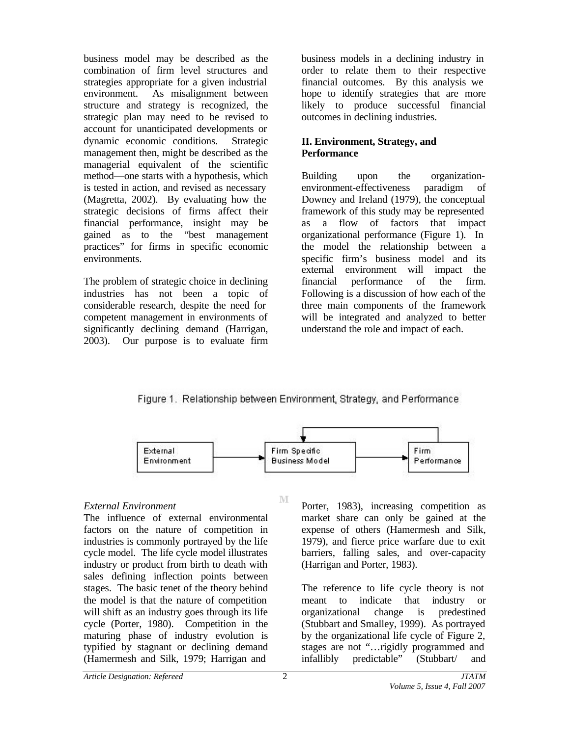business model may be described as the combination of firm level structures and strategies appropriate for a given industrial environment. As misalignment between structure and strategy is recognized, the strategic plan may need to be revised to account for unanticipated developments or dynamic economic conditions. Strategic management then, might be described as the managerial equivalent of the scientific method—one starts with a hypothesis, which is tested in action, and revised as necessary (Magretta, 2002). By evaluating how the strategic decisions of firms affect their financial performance, insight may be gained as to the "best management practices" for firms in specific economic environments.

The problem of strategic choice in declining industries has not been a topic of considerable research, despite the need for competent management in environments of significantly declining demand (Harrigan, 2003). Our purpose is to evaluate firm business models in a declining industry in order to relate them to their respective financial outcomes. By this analysis we hope to identify strategies that are more likely to produce successful financial outcomes in declining industries.

## **II. Environment, Strategy, and Performance**

Building upon the organizationenvironment-effectiveness paradigm of Downey and Ireland (1979), the conceptual framework of this study may be represented as a flow of factors that impact organizational performance (Figure 1). In the model the relationship between a specific firm's business model and its external environment will impact the financial performance of the firm. Following is a discussion of how each of the three main components of the framework will be integrated and analyzed to better understand the role and impact of each.

## Figure 1. Relationship between Environment, Strategy, and Performance



M

## *External Environment*

The influence of external environmental factors on the nature of competition in industries is commonly portrayed by the life cycle model. The life cycle model illustrates industry or product from birth to death with sales defining inflection points between stages. The basic tenet of the theory behind the model is that the nature of competition will shift as an industry goes through its life cycle (Porter, 1980). Competition in the maturing phase of industry evolution is typified by stagnant or declining demand (Hamermesh and Silk, 1979; Harrigan and

Porter, 1983), increasing competition as market share can only be gained at the expense of others (Hamermesh and Silk, 1979), and fierce price warfare due to exit barriers, falling sales, and over-capacity (Harrigan and Porter, 1983).

The reference to life cycle theory is not meant to indicate that industry or organizational change is predestined (Stubbart and Smalley, 1999). As portrayed by the organizational life cycle of Figure 2, stages are not "…rigidly programmed and infallibly predictable" (Stubbart/ and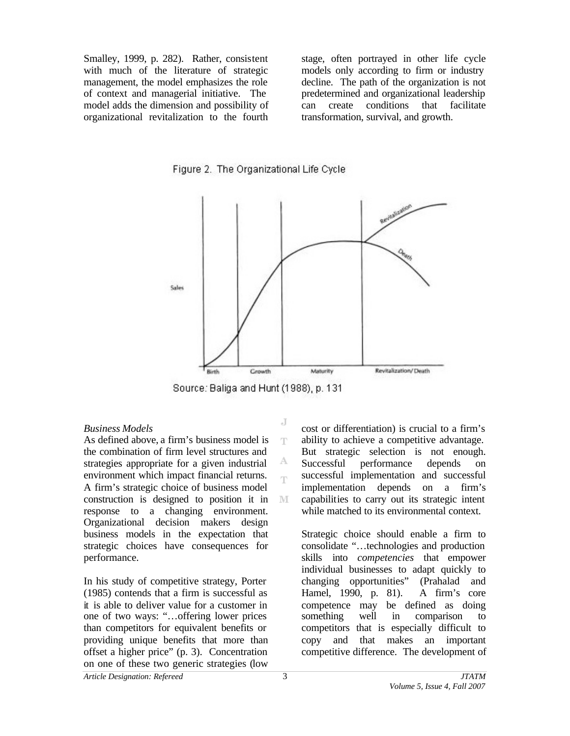Smalley, 1999, p. 282). Rather, consistent with much of the literature of strategic management, the model emphasizes the role of context and managerial initiative. The model adds the dimension and possibility of organizational revitalization to the fourth stage, often portrayed in other life cycle models only according to firm or industry decline. The path of the organization is not predetermined and organizational leadership can create conditions that facilitate transformation, survival, and growth.





Source: Baliga and Hunt (1988), p. 131

J

T

А T

#### *Business Models*

As defined above, a firm's business model is the combination of firm level structures and strategies appropriate for a given industrial environment which impact financial returns. A firm's strategic choice of business model construction is designed to position it in M response to a changing environment. Organizational decision makers design business models in the expectation that strategic choices have consequences for performance.

In his study of competitive strategy, Porter (1985) contends that a firm is successful as it is able to deliver value for a customer in one of two ways: "…offering lower prices than competitors for equivalent benefits or providing unique benefits that more than offset a higher price" (p. 3). Concentration on one of these two generic strategies (low

cost or differentiation) is crucial to a firm's ability to achieve a competitive advantage. But strategic selection is not enough. Successful performance depends on successful implementation and successful implementation depends on a firm's capabilities to carry out its strategic intent while matched to its environmental context.

Strategic choice should enable a firm to consolidate "…technologies and production skills into *competencies* that empower individual businesses to adapt quickly to changing opportunities" (Prahalad and Hamel, 1990, p. 81). A firm's core competence may be defined as doing something well in comparison to competitors that is especially difficult to copy and that makes an important competitive difference. The development of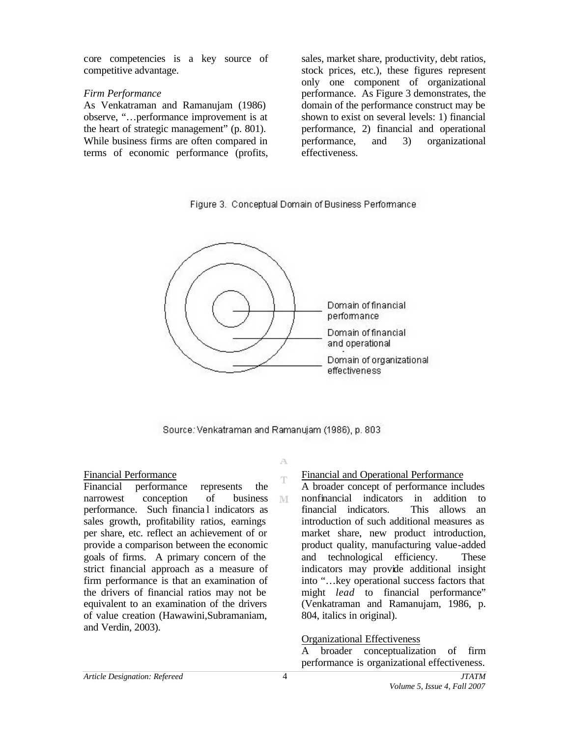core competencies is a key source of competitive advantage.

#### *Firm Performance*

As Venkatraman and Ramanujam (1986) observe, "…performance improvement is at the heart of strategic management" (p. 801). While business firms are often compared in terms of economic performance (profits,

sales, market share, productivity, debt ratios, stock prices, etc.), these figures represent only one component of organizational performance. As Figure 3 demonstrates, the domain of the performance construct may be shown to exist on several levels: 1) financial performance, 2) financial and operational performance, and 3) organizational effectiveness.

Figure 3. Conceptual Domain of Business Performance



Source: Venkatraman and Ramanujam (1986), p. 803

A Ŧ

M

## Financial Performance

Financial performance represents the narrowest conception of business performance. Such financia l indicators as sales growth, profitability ratios, earnings per share, etc. reflect an achievement of or provide a comparison between the economic goals of firms. A primary concern of the strict financial approach as a measure of firm performance is that an examination of the drivers of financial ratios may not be equivalent to an examination of the drivers of value creation (Hawawini,Subramaniam, and Verdin, 2003).

## Financial and Operational Performance

A broader concept of performance includes nonfinancial indicators in addition to financial indicators. This allows an introduction of such additional measures as market share, new product introduction, product quality, manufacturing value-added and technological efficiency. These indicators may provide additional insight into "…key operational success factors that might *lead* to financial performance" (Venkatraman and Ramanujam, 1986, p. 804, italics in original).

Organizational Effectiveness

A broader conceptualization of firm performance is organizational effectiveness.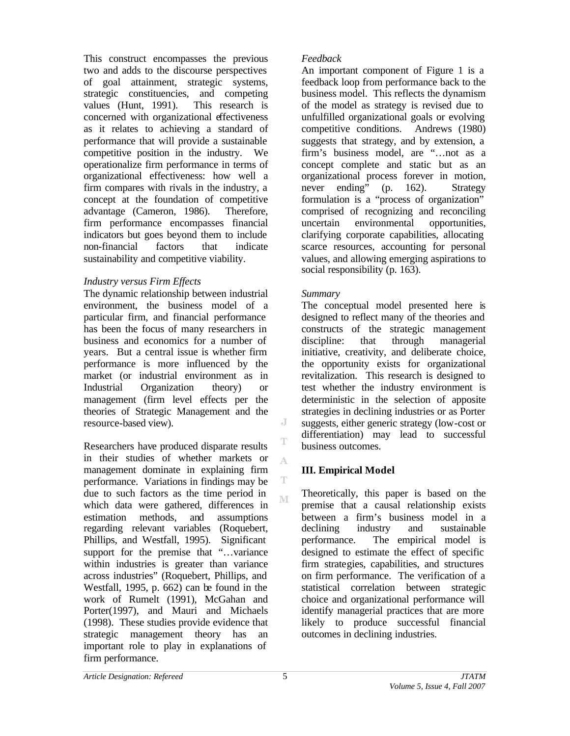This construct encompasses the previous two and adds to the discourse perspectives of goal attainment, strategic systems, strategic constituencies, and competing values (Hunt, 1991). This research is concerned with organizational effectiveness as it relates to achieving a standard of performance that will provide a sustainable competitive position in the industry. We operationalize firm performance in terms of organizational effectiveness: how well a firm compares with rivals in the industry, a concept at the foundation of competitive advantage (Cameron, 1986). Therefore, firm performance encompasses financial indicators but goes beyond them to include non-financial factors that indicate sustainability and competitive viability.

## *Industry versus Firm Effects*

The dynamic relationship between industrial environment, the business model of a particular firm, and financial performance has been the focus of many researchers in business and economics for a number of years. But a central issue is whether firm performance is more influenced by the market (or industrial environment as in Industrial Organization theory) or management (firm level effects per the theories of Strategic Management and the resource-based view).

Researchers have produced disparate results in their studies of whether markets or management dominate in explaining firm performance. Variations in findings may be due to such factors as the time period in which data were gathered, differences in estimation methods, and assumptions regarding relevant variables (Roquebert, Phillips, and Westfall, 1995). Significant support for the premise that "...variance" within industries is greater than variance across industries" (Roquebert, Phillips, and Westfall, 1995, p. 662) can be found in the work of Rumelt (1991), McGahan and Porter(1997), and Mauri and Michaels (1998). These studies provide evidence that strategic management theory has an important role to play in explanations of firm performance.

## *Feedback*

An important component of Figure 1 is a feedback loop from performance back to the business model. This reflects the dynamism of the model as strategy is revised due to unfulfilled organizational goals or evolving competitive conditions. Andrews (1980) suggests that strategy, and by extension, a firm's business model, are "…not as a concept complete and static but as an organizational process forever in motion, never ending" (p. 162). Strategy formulation is a "process of organization" comprised of recognizing and reconciling uncertain environmental opportunities, clarifying corporate capabilities, allocating scarce resources, accounting for personal values, and allowing emerging aspirations to social responsibility (p. 163).

## *Summary*

The conceptual model presented here is designed to reflect many of the theories and constructs of the strategic management discipline: that through managerial initiative, creativity, and deliberate choice, the opportunity exists for organizational revitalization. This research is designed to test whether the industry environment is deterministic in the selection of apposite strategies in declining industries or as Porter suggests, either generic strategy (low-cost or differentiation) may lead to successful business outcomes.

# **III. Empirical Model**

Theoretically, this paper is based on the premise that a causal relationship exists between a firm's business model in a declining industry and sustainable performance. The empirical model is designed to estimate the effect of specific firm strategies, capabilities, and structures on firm performance. The verification of a statistical correlation between strategic choice and organizational performance will identify managerial practices that are more likely to produce successful financial outcomes in declining industries.

J

T

A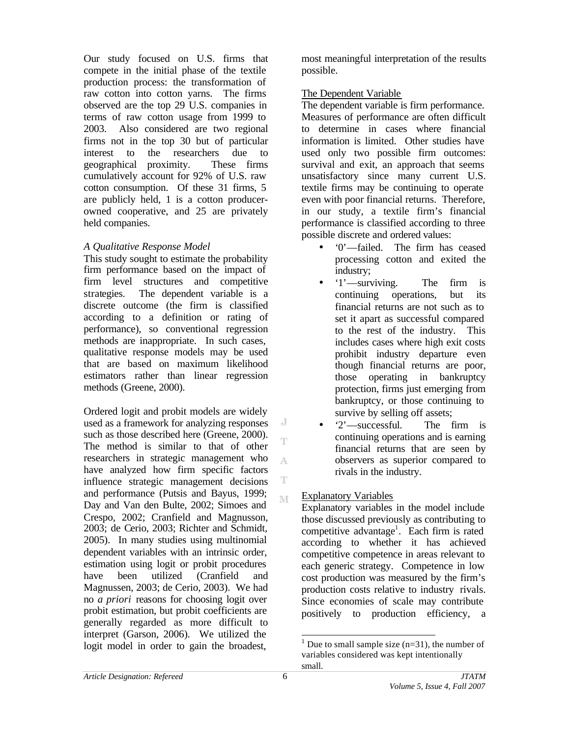Our study focused on U.S. firms that compete in the initial phase of the textile production process: the transformation of raw cotton into cotton yarns. The firms observed are the top 29 U.S. companies in terms of raw cotton usage from 1999 to 2003. Also considered are two regional firms not in the top 30 but of particular interest to the researchers due to geographical proximity. These firms cumulatively account for 92% of U.S. raw cotton consumption. Of these 31 firms, 5 are publicly held, 1 is a cotton producerowned cooperative, and 25 are privately held companies.

## *A Qualitative Response Model*

This study sought to estimate the probability firm performance based on the impact of firm level structures and competitive strategies. The dependent variable is a discrete outcome (the firm is classified according to a definition or rating of performance), so conventional regression methods are inappropriate. In such cases, qualitative response models may be used that are based on maximum likelihood estimators rather than linear regression methods (Greene, 2000).

Ordered logit and probit models are widely used as a framework for analyzing responses such as those described here (Greene, 2000). The method is similar to that of other researchers in strategic management who have analyzed how firm specific factors influence strategic management decisions and performance (Putsis and Bayus, 1999; Day and Van den Bulte, 2002; Simoes and Crespo, 2002; Cranfield and Magnusson, 2003; de Cerio, 2003; Richter and Schmidt, 2005). In many studies using multinomial dependent variables with an intrinsic order, estimation using logit or probit procedures have been utilized (Cranfield and Magnussen, 2003; de Cerio, 2003). We had no *a priori* reasons for choosing logit over probit estimation, but probit coefficients are generally regarded as more difficult to interpret (Garson, 2006). We utilized the logit model in order to gain the broadest,

most meaningful interpretation of the results possible.

## The Dependent Variable

The dependent variable is firm performance. Measures of performance are often difficult to determine in cases where financial information is limited. Other studies have used only two possible firm outcomes: survival and exit, an approach that seems unsatisfactory since many current U.S. textile firms may be continuing to operate even with poor financial returns. Therefore, in our study, a textile firm's financial performance is classified according to three possible discrete and ordered values:

- '0'—failed. The firm has ceased processing cotton and exited the industry;
- '1'—surviving. The firm is continuing operations, but its financial returns are not such as to set it apart as successful compared to the rest of the industry. This includes cases where high exit costs prohibit industry departure even though financial returns are poor, those operating in bankruptcy protection, firms just emerging from bankruptcy, or those continuing to survive by selling off assets;
- '2'—successful. The firm is continuing operations and is earning financial returns that are seen by observers as superior compared to rivals in the industry.

## Explanatory Variables

Explanatory variables in the model include those discussed previously as contributing to competitive advantage<sup>1</sup>. Each firm is rated according to whether it has achieved competitive competence in areas relevant to each generic strategy. Competence in low cost production was measured by the firm's production costs relative to industry rivals. Since economies of scale may contribute positively to production efficiency, a

J T

A

T M

l

<sup>&</sup>lt;sup>1</sup> Due to small sample size  $(n=31)$ , the number of variables considered was kept intentionally small.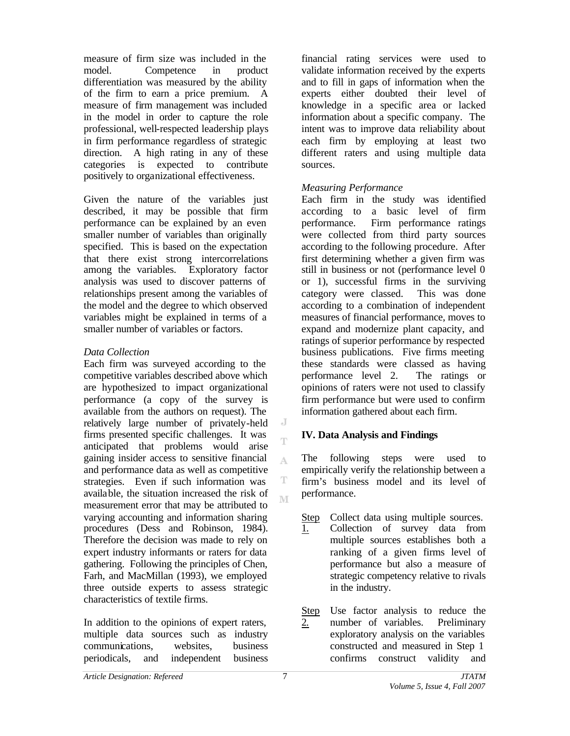measure of firm size was included in the model. Competence in product differentiation was measured by the ability of the firm to earn a price premium. A measure of firm management was included in the model in order to capture the role professional, well-respected leadership plays in firm performance regardless of strategic direction. A high rating in any of these categories is expected to contribute positively to organizational effectiveness.

Given the nature of the variables just described, it may be possible that firm performance can be explained by an even smaller number of variables than originally specified. This is based on the expectation that there exist strong intercorrelations among the variables. Exploratory factor analysis was used to discover patterns of relationships present among the variables of the model and the degree to which observed variables might be explained in terms of a smaller number of variables or factors.

## *Data Collection*

Each firm was surveyed according to the competitive variables described above which are hypothesized to impact organizational performance (a copy of the survey is available from the authors on request). The relatively large number of privately-held firms presented specific challenges. It was anticipated that problems would arise gaining insider access to sensitive financial and performance data as well as competitive strategies. Even if such information was available, the situation increased the risk of measurement error that may be attributed to varying accounting and information sharing procedures (Dess and Robinson, 1984). Therefore the decision was made to rely on expert industry informants or raters for data gathering. Following the principles of Chen, Farh, and MacMillan (1993), we employed three outside experts to assess strategic characteristics of textile firms.

In addition to the opinions of expert raters, multiple data sources such as industry communications, websites, business periodicals, and independent business

financial rating services were used to validate information received by the experts and to fill in gaps of information when the experts either doubted their level of knowledge in a specific area or lacked information about a specific company. The intent was to improve data reliability about each firm by employing at least two different raters and using multiple data sources.

### *Measuring Performance*

Each firm in the study was identified according to a basic level of firm performance. Firm performance ratings were collected from third party sources according to the following procedure. After first determining whether a given firm was still in business or not (performance level 0 or 1), successful firms in the surviving category were classed. This was done according to a combination of independent measures of financial performance, moves to expand and modernize plant capacity, and ratings of superior performance by respected business publications. Five firms meeting these standards were classed as having performance level 2. The ratings or opinions of raters were not used to classify firm performance but were used to confirm information gathered about each firm.

## **IV. Data Analysis and Findings**

The following steps were used to empirically verify the relationship between a firm's business model and its level of performance.

Step Collect data using multiple sources.

- 1. Collection of survey data from multiple sources establishes both a ranking of a given firms level of performance but also a measure of strategic competency relative to rivals in the industry.
- Step 2. Use factor analysis to reduce the number of variables. Preliminary exploratory analysis on the variables constructed and measured in Step 1 confirms construct validity and

 $\overline{a}$ T

A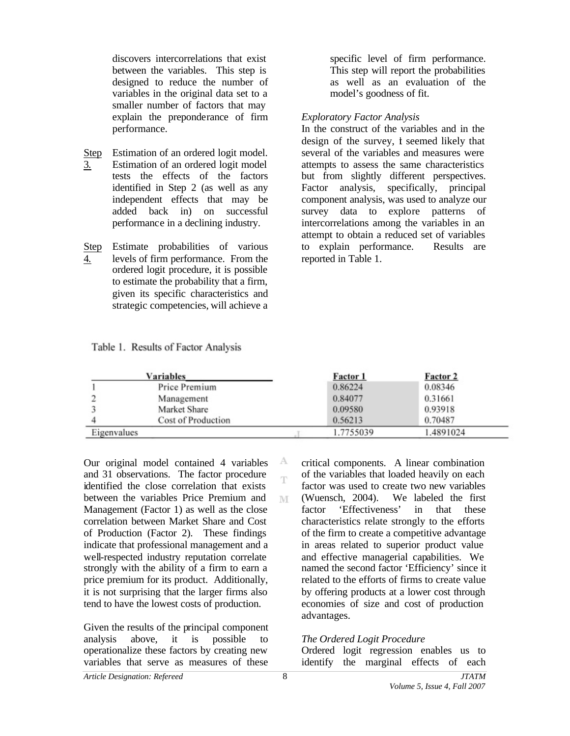discovers intercorrelations that exist between the variables. This step is designed to reduce the number of variables in the original data set to a smaller number of factors that may explain the preponderance of firm performance.

- Step 3. Estimation of an ordered logit model. Estimation of an ordered logit model tests the effects of the factors identified in Step 2 (as well as any independent effects that may be added back in) on successful performance in a declining industry.
- Step Estimate probabilities of various 4. levels of firm performance. From the ordered logit procedure, it is possible to estimate the probability that a firm, given its specific characteristics and strategic competencies, will achieve a

specific level of firm performance. This step will report the probabilities as well as an evaluation of the model's goodness of fit.

#### *Exploratory Factor Analysis*

In the construct of the variables and in the design of the survey, it seemed likely that several of the variables and measures were attempts to assess the same characteristics but from slightly different perspectives. Factor analysis, specifically, principal component analysis, was used to analyze our survey data to explore patterns of intercorrelations among the variables in an attempt to obtain a reduced set of variables to explain performance. Results are reported in Table 1.

Table 1. Results of Factor Analysis

| <b>Variables</b> |                    |  | <b>Factor 1</b> | <b>Factor 2</b> |
|------------------|--------------------|--|-----------------|-----------------|
|                  | Price Premium      |  | 0.86224         | 0.08346         |
|                  | Management         |  | 0.84077         | 0.31661         |
|                  | Market Share       |  | 0.09580         | 0.93918         |
|                  | Cost of Production |  | 0.56213         | 0.70487         |
| Eigenvalues      |                    |  | 1.7755039       | 1.4891024       |

А Ŧ

M

Our original model contained 4 variables and 31 observations. The factor procedure identified the close correlation that exists between the variables Price Premium and Management (Factor 1) as well as the close correlation between Market Share and Cost of Production (Factor 2). These findings indicate that professional management and a well-respected industry reputation correlate strongly with the ability of a firm to earn a price premium for its product. Additionally, it is not surprising that the larger firms also tend to have the lowest costs of production.

Given the results of the principal component analysis above, it is possible to operationalize these factors by creating new variables that serve as measures of these

critical components. A linear combination of the variables that loaded heavily on each factor was used to create two new variables (Wuensch, 2004). We labeled the first factor 'Effectiveness' in that these characteristics relate strongly to the efforts of the firm to create a competitive advantage in areas related to superior product value and effective managerial capabilities. We named the second factor 'Efficiency' since it related to the efforts of firms to create value by offering products at a lower cost through economies of size and cost of production advantages.

#### *The Ordered Logit Procedure*

Ordered logit regression enables us to identify the marginal effects of each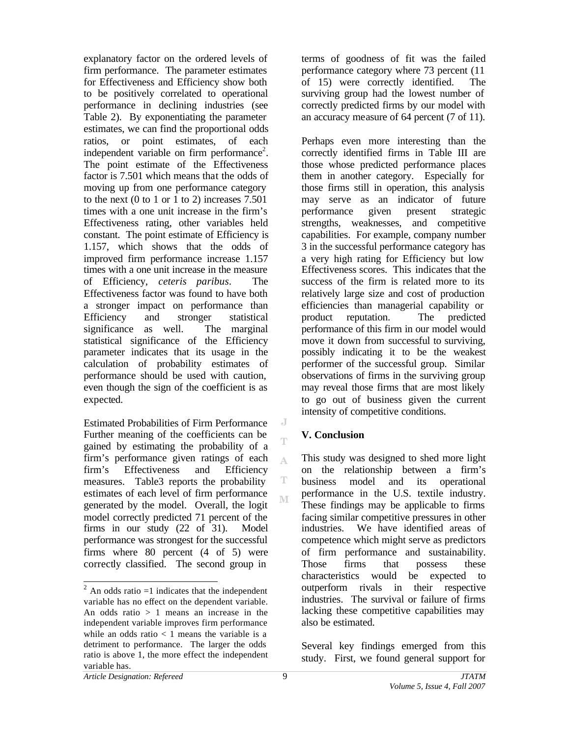explanatory factor on the ordered levels of firm performance. The parameter estimates for Effectiveness and Efficiency show both to be positively correlated to operational performance in declining industries (see Table 2). By exponentiating the parameter estimates, we can find the proportional odds ratios, or point estimates, of each independent variable on firm performance<sup>2</sup>. The point estimate of the Effectiveness factor is 7.501 which means that the odds of moving up from one performance category to the next  $(0 \text{ to } 1 \text{ or } 1 \text{ to } 2)$  increases 7.501 times with a one unit increase in the firm's Effectiveness rating, other variables held constant. The point estimate of Efficiency is 1.157, which shows that the odds of improved firm performance increase 1.157 times with a one unit increase in the measure of Efficiency, *ceteris paribus*. The Effectiveness factor was found to have both a stronger impact on performance than Efficiency and stronger statistical significance as well. The marginal statistical significance of the Efficiency parameter indicates that its usage in the calculation of probability estimates of performance should be used with caution, even though the sign of the coefficient is as expected.

Estimated Probabilities of Firm Performance Further meaning of the coefficients can be gained by estimating the probability of a firm's performance given ratings of each firm's Effectiveness and Efficiency measures. Table3 reports the probability estimates of each level of firm performance generated by the model. Overall, the logit model correctly predicted 71 percent of the firms in our study (22 of 31). Model performance was strongest for the successful firms where 80 percent (4 of 5) were correctly classified. The second group in

terms of goodness of fit was the failed performance category where 73 percent (11 of 15) were correctly identified. The surviving group had the lowest number of correctly predicted firms by our model with an accuracy measure of 64 percent (7 of 11).

Perhaps even more interesting than the correctly identified firms in Table III are those whose predicted performance places them in another category. Especially for those firms still in operation, this analysis may serve as an indicator of future performance given present strategic strengths, weaknesses, and competitive capabilities. For example, company number 3 in the successful performance category has a very high rating for Efficiency but low Effectiveness scores. This indicates that the success of the firm is related more to its relatively large size and cost of production efficiencies than managerial capability or product reputation. The predicted performance of this firm in our model would move it down from successful to surviving, possibly indicating it to be the weakest performer of the successful group. Similar observations of firms in the surviving group may reveal those firms that are most likely to go out of business given the current intensity of competitive conditions.

## **V. Conclusion**

This study was designed to shed more light on the relationship between a firm's business model and its operational performance in the U.S. textile industry. These findings may be applicable to firms facing similar competitive pressures in other industries. We have identified areas of competence which might serve as predictors of firm performance and sustainability. Those firms that possess these characteristics would be expected to outperform rivals in their respective industries. The survival or failure of firms lacking these competitive capabilities may also be estimated.

Several key findings emerged from this study. First, we found general support for

J T

A

l  $^{2}$  An odds ratio =1 indicates that the independent variable has no effect on the dependent variable. An odds ratio  $> 1$  means an increase in the independent variable improves firm performance while an odds ratio  $< 1$  means the variable is a detriment to performance. The larger the odds ratio is above 1, the more effect the independent variable has.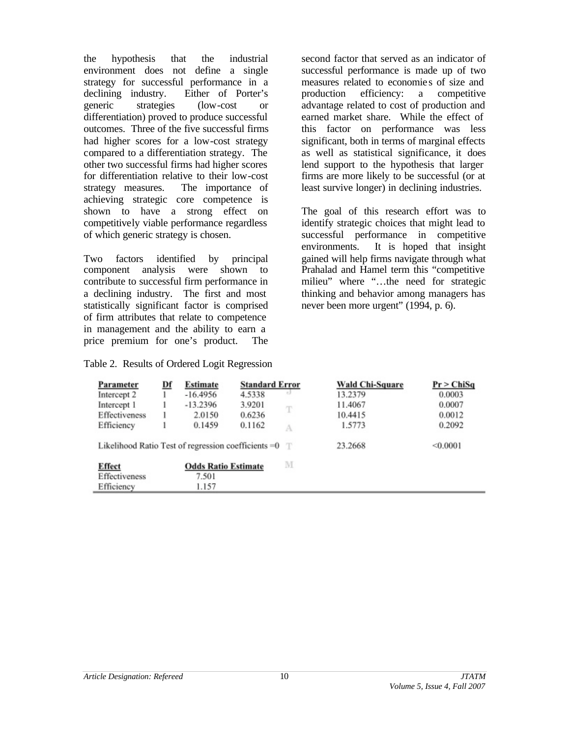the hypothesis that the industrial environment does not define a single strategy for successful performance in a declining industry. Either of Porter's generic strategies (low-cost or differentiation) proved to produce successful outcomes. Three of the five successful firms had higher scores for a low-cost strategy compared to a differentiation strategy. The other two successful firms had higher scores for differentiation relative to their low-cost strategy measures. The importance of achieving strategic core competence is shown to have a strong effect on competitively viable performance regardless of which generic strategy is chosen.

Two factors identified by principal component analysis were shown to contribute to successful firm performance in a declining industry. The first and most statistically significant factor is comprised of firm attributes that relate to competence in management and the ability to earn a price premium for one's product. The

## Table 2. Results of Ordered Logit Regression

second factor that served as an indicator of successful performance is made up of two measures related to economie s of size and production efficiency: a competitive advantage related to cost of production and earned market share. While the effect of this factor on performance was less significant, both in terms of marginal effects as well as statistical significance, it does lend support to the hypothesis that larger firms are more likely to be successful (or at least survive longer) in declining industries.

The goal of this research effort was to identify strategic choices that might lead to successful performance in competitive environments. It is hoped that insight gained will help firms navigate through what Prahalad and Hamel term this "competitive milieu" where "…the need for strategic thinking and behavior among managers has never been more urgent" (1994, p. 6).

| Parameter                                               | <u>Df</u> | Estimate                   | <b>Standard Error</b> |      | <b>Wald Chi-Square</b> | Pr > ChiSq |
|---------------------------------------------------------|-----------|----------------------------|-----------------------|------|------------------------|------------|
| Intercept 2                                             |           | $-16.4956$                 | 4.5338                | $-1$ | 13.2379                | 0.0003     |
| Intercept 1                                             |           | $-13.2396$                 | 3.9201                | T    | 11.4067                | 0.0007     |
| Effectiveness                                           |           | 2.0150                     | 0.6236                |      | 10.4415                | 0.0012     |
| Efficiency                                              |           | 0.1459                     | 0.1162                | А    | 1.5773                 | 0.2092     |
| Likelihood Ratio Test of regression coefficients $=0$ T |           |                            |                       |      | 23.2668                | < 0.0001   |
| <b>Effect</b>                                           |           | <b>Odds Ratio Estimate</b> |                       | M    |                        |            |
| Effectiveness                                           |           | 7.501                      |                       |      |                        |            |
| Efficiency                                              |           | 1.157                      |                       |      |                        |            |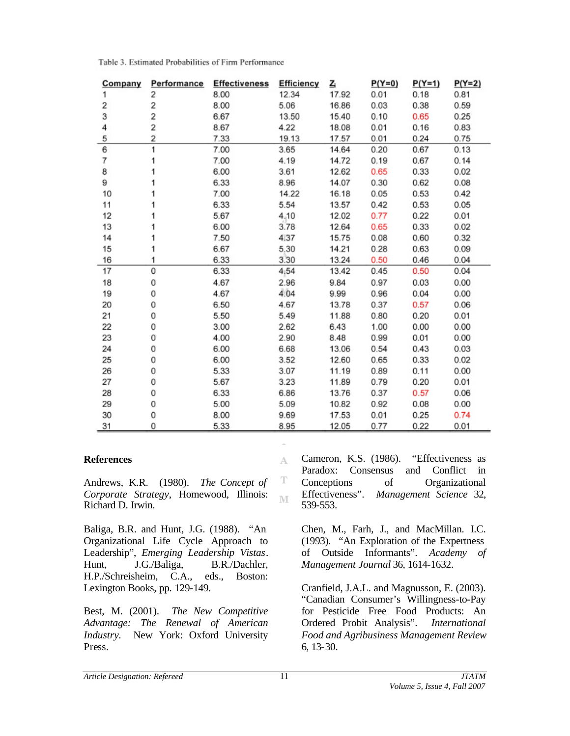| Company | Performance | <b>Effectiveness</b> | Efficiency | <u>Z</u> | $P(Y=0)$ | $P(Y=1)$ | $P(Y=2)$ |
|---------|-------------|----------------------|------------|----------|----------|----------|----------|
| 1       | 2           | 8.00                 | 12.34      | 17.92    | 0.01     | 0.18     | 0.81     |
| 2       | 2           | 8.00                 | 5.06       | 16.86    | 0.03     | 0.38     | 0.59     |
| 3       | 2           | 6.67                 | 13.50      | 15.40    | 0.10     | 0.65     | 0.25     |
| 4       | 2           | 8.67                 | 4.22       | 18.08    | 0.01     | 0.16     | 0.83     |
| 5       | 2           | 7.33                 | 19.13      | 17.57    | 0.01     | 0.24     | 0.75     |
| 6       | 1           | 7.00                 | 3.65       | 14.64    | 0.20     | 0.67     | 0.13     |
| 7       |             | 7.00                 | 4.19       | 14.72    | 0.19     | 0.67     | 0.14     |
| 8       |             | 6.00                 | 3.61       | 12.62    | 0.65     | 0.33     | 0.02     |
| 9       |             | 6.33                 | 8.96       | 14.07    | 0.30     | 0.62     | 0.08     |
| 10      |             | 7.00                 | 14.22      | 16.18    | 0.05     | 0.53     | 0.42     |
| 11      |             | 6.33                 | 5.54       | 13.57    | 0.42     | 0.53     | 0.05     |
| 12      |             | 5.67                 | 4,10       | 12.02    | 0.77     | 0.22     | 0.01     |
| 13      |             | 6.00                 | 3.78       | 12.64    | 0.65     | 0.33     | 0.02     |
| 14      |             | 7.50                 | 4.37       | 15.75    | 0.08     | 0.60     | 0.32     |
| 15      |             | 6.67                 | 5,30       | 14.21    | 0.28     | 0.63     | 0.09     |
| 16      | 1           | 6.33                 | 3.30       | 13.24    | 0.50     | 0.46     | 0.04     |
| 17      | 0           | 6.33                 | 4.54       | 13.42    | 0.45     | 0.50     | 0.04     |
| 18      | 0           | 4.67                 | 2.96       | 9.84     | 0.97     | 0.03     | 0.00     |
| 19      | 0           | 4.67                 | 4.04       | 9.99     | 0.96     | 0.04     | 0.00     |
| 20      | 0           | 6.50                 | 4.67       | 13.78    | 0.37     | 0.57     | 0.06     |
| 21      | 0           | 5.50                 | 5.49       | 11.88    | 0.80     | 0.20     | 0.01     |
| 22      | 0           | 3.00                 | 2.62       | 6.43     | 1.00     | 0.00     | 0.00     |
| 23      | 0           | 4.00                 | 2.90       | 8.48     | 0.99     | 0.01     | 0.00     |
| 24      | 0           | 6.00                 | 6.68       | 13.06    | 0.54     | 0.43     | 0.03     |
| 25      | 0           | 6.00                 | 3.52       | 12.60    | 0.65     | 0.33     | 0.02     |
| 26      | 0           | 5.33                 | 3.07       | 11.19    | 0.89     | 0.11     | 0.00     |
| 27      | 0           | 5.67                 | 3.23       | 11.89    | 0.79     | 0.20     | 0.01     |
| 28      | 0           | 6.33                 | 6.86       | 13.76    | 0.37     | 0.57     | 0.06     |
| 29      | 0           | 5.00                 | 5.09       | 10.82    | 0.92     | 0.08     | 0.00     |
| 30      | 0           | 8.00                 | 9.69       | 17.53    | 0.01     | 0.25     | 0.74     |
| 31      | 0           | 5.33                 | 8.95       | 12.05    | 0.77     | 0.22     | 0.01     |

Table 3. Estimated Probabilities of Firm Performance

#### **References**

Andrews, K.R. (1980). *The Concept of Corporate Strategy*, Homewood, Illinois: Richard D. Irwin.

Baliga, B.R. and Hunt, J.G. (1988). "An Organizational Life Cycle Approach to Leadership", *Emerging Leadership Vistas*. Hunt, J.G./Baliga, B.R./Dachler, H.P./Schreisheim, C.A., eds., Boston: Lexington Books, pp. 129-149.

Best, M. (2001). *The New Competitive Advantage: The Renewal of American Industry.* New York: Oxford University Press.

Cameron, K.S. (1986). "Effectiveness as Paradox: Consensus and Conflict in Conceptions of Organizational Effectiveness". *Management Science* 32, 539-553.

Chen, M., Farh, J., and MacMillan. I.C. (1993). "An Exploration of the Expertness of Outside Informants". *Academy of Management Journal* 36, 1614-1632.

Cranfield, J.A.L. and Magnusson, E. (2003). "Canadian Consumer's Willingness-to-Pay for Pesticide Free Food Products: An Ordered Probit Analysis". *International Food and Agribusiness Management Review* 6, 13-30.

A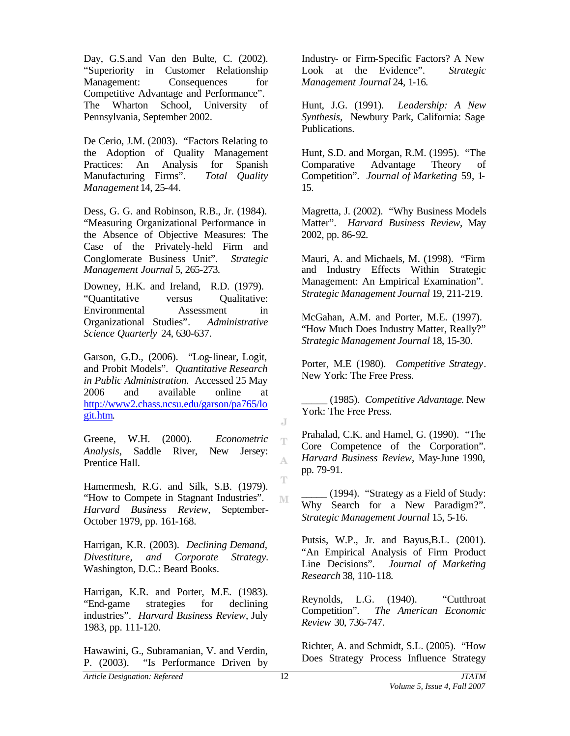Day, G.S.and Van den Bulte, C. (2002). "Superiority in Customer Relationship Management: Consequences for Competitive Advantage and Performance". The Wharton School, University of Pennsylvania, September 2002.

De Cerio, J.M. (2003). "Factors Relating to the Adoption of Quality Management Practices: An Analysis for Spanish Manufacturing Firms". *Total Quality Management* 14, 25-44.

Dess, G. G. and Robinson, R.B., Jr. (1984). "Measuring Organizational Performance in the Absence of Objective Measures: The Case of the Privately-held Firm and Conglomerate Business Unit". *Strategic Management Journal* 5, 265-273.

Downey, H.K. and Ireland, R.D. (1979). "Quantitative versus Qualitative: Environmental Assessment in Organizational Studies". *Administrative Science Quarterly* 24, 630-637.

Garson, G.D., (2006). "Log-linear, Logit, and Probit Models". *Quantitative Research in Public Administration.* Accessed 25 May 2006 and available online at http://www2.chass.ncsu.edu/garson/pa765/lo git.htm.

Greene, W.H. (2000). *Econometric Analysis*, Saddle River, New Jersey: Prentice Hall.

Hamermesh, R.G. and Silk, S.B. (1979). "How to Compete in Stagnant Industries". *Harvard Business Review*, September-October 1979, pp. 161-168.

Harrigan, K.R. (2003). *Declining Demand, Divestiture, and Corporate Strategy.* Washington, D.C.: Beard Books.

Harrigan, K.R. and Porter, M.E. (1983). "End-game strategies for declining industries". *Harvard Business Review*, July 1983, pp. 111-120.

Hawawini, G., Subramanian, V. and Verdin, P. (2003). "Is Performance Driven by

Industry- or Firm-Specific Factors? A New Look at the Evidence". *Strategic Management Journal* 24, 1-16.

Hunt, J.G. (1991). *Leadership: A New Synthesis,* Newbury Park, California: Sage Publications.

Hunt, S.D. and Morgan, R.M. (1995). "The Comparative Advantage Theory of Competition". *Journal of Marketing* 59, 1- 15.

Magretta, J. (2002). "Why Business Models Matter". *Harvard Business Review*, May 2002, pp. 86-92.

Mauri, A. and Michaels, M. (1998). "Firm and Industry Effects Within Strategic Management: An Empirical Examination". *Strategic Management Journal* 19, 211-219.

McGahan, A.M. and Porter, M.E. (1997). "How Much Does Industry Matter, Really?" *Strategic Management Journal* 18, 15-30.

Porter, M.E (1980). *Competitive Strategy*. New York: The Free Press.

\_\_\_\_\_ (1985). *Competitive Advantage*. New York: The Free Press.

Prahalad, C.K. and Hamel, G. (1990). "The Core Competence of the Corporation". *Harvard Business Review*, May-June 1990, pp. 79-91.

\_\_\_\_\_ (1994). "Strategy as a Field of Study: Why Search for a New Paradigm?". *Strategic Management Journal* 15, 5-16.

Putsis, W.P., Jr. and Bayus, B.L. (2001). "An Empirical Analysis of Firm Product Line Decisions". *Journal of Marketing Research* 38, 110-118.

Reynolds, L.G. (1940). "Cutthroat Competition". *The American Economic Review* 30, 736-747.

Richter, A. and Schmidt, S.L. (2005). "How Does Strategy Process Influence Strategy

J T

A

T

M